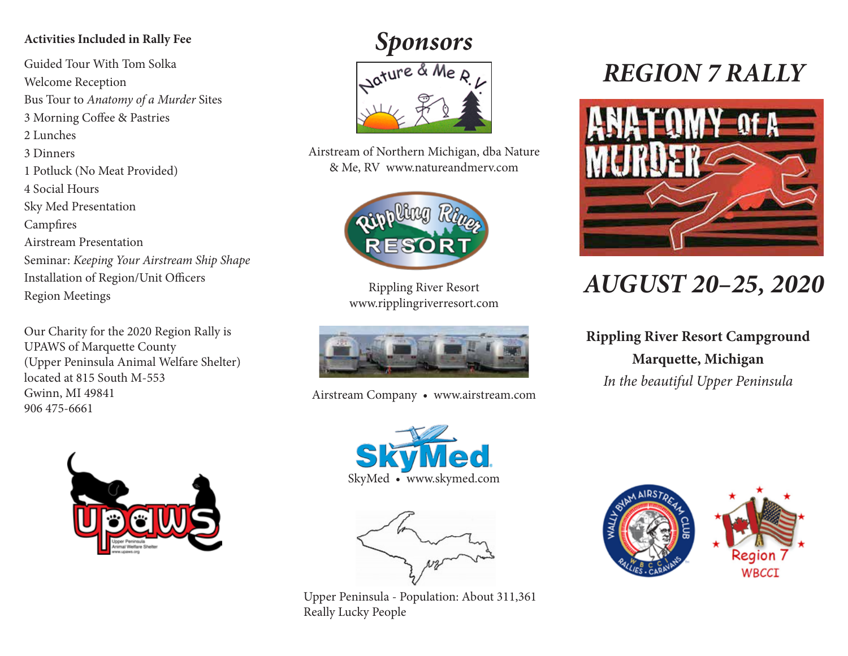## **Activities Included in Rally Fee**

Guided Tour With Tom Solka Welcome Reception Bus Tour to *Anatomy of a Murder* Sites 3 Morning Coffee & Pastries 2 Lunches 3 Dinners 1 Potluck (No Meat Provided) 4 Social Hours Sky Med Presentation Campfires Airstream Presentation Seminar: *Keeping Your Airstream Ship Shape* Installation of Region/Unit Officers Region Meetings

Our Charity for the 2020 Region Rally is UPAWS of Marquette County (Upper Peninsula Animal Welfare Shelter) located at 815 South M-553 Gwinn, MI 49841 906 475-6661



# *Sponsors*



Airstream of Northern Michigan, dba Nature & Me, RV www.natureandmerv.com



Rippling River Resort www.ripplingriverresort.com



Airstream Company • www.airstream.com





Upper Peninsula - Population: About 311,361 Really Lucky People

# *REGION 7 RALLY*



# *AUGUST 20–25, 2020*

**Rippling River Resort Campground Marquette, Michigan** *In the beautiful Upper Peninsula*